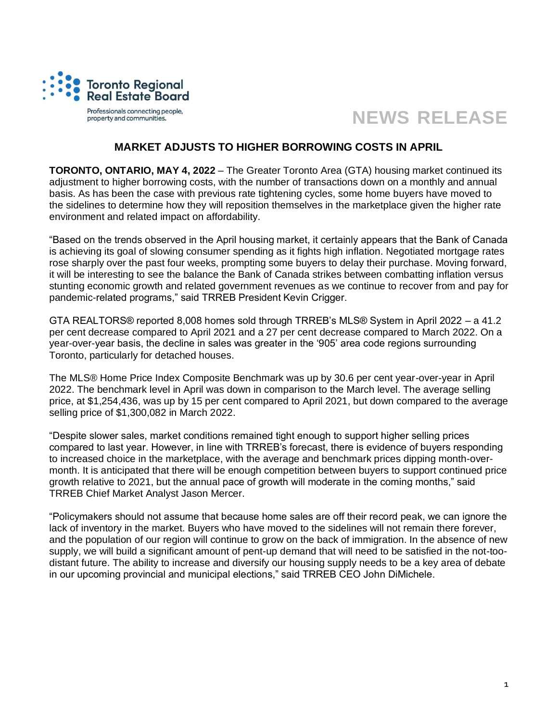

## **NEWS RELEASE**

## **MARKET ADJUSTS TO HIGHER BORROWING COSTS IN APRIL**

**TORONTO, ONTARIO, MAY 4, 2022** – The Greater Toronto Area (GTA) housing market continued its adjustment to higher borrowing costs, with the number of transactions down on a monthly and annual basis. As has been the case with previous rate tightening cycles, some home buyers have moved to the sidelines to determine how they will reposition themselves in the marketplace given the higher rate environment and related impact on affordability.

"Based on the trends observed in the April housing market, it certainly appears that the Bank of Canada is achieving its goal of slowing consumer spending as it fights high inflation. Negotiated mortgage rates rose sharply over the past four weeks, prompting some buyers to delay their purchase. Moving forward, it will be interesting to see the balance the Bank of Canada strikes between combatting inflation versus stunting economic growth and related government revenues as we continue to recover from and pay for pandemic-related programs," said TRREB President Kevin Crigger.

GTA REALTORS® reported 8,008 homes sold through TRREB's MLS® System in April 2022 – a 41.2 per cent decrease compared to April 2021 and a 27 per cent decrease compared to March 2022. On a year-over-year basis, the decline in sales was greater in the '905' area code regions surrounding Toronto, particularly for detached houses.

The MLS® Home Price Index Composite Benchmark was up by 30.6 per cent year-over-year in April 2022. The benchmark level in April was down in comparison to the March level. The average selling price, at \$1,254,436, was up by 15 per cent compared to April 2021, but down compared to the average selling price of \$1,300,082 in March 2022.

"Despite slower sales, market conditions remained tight enough to support higher selling prices compared to last year. However, in line with TRREB's forecast, there is evidence of buyers responding to increased choice in the marketplace, with the average and benchmark prices dipping month-overmonth. It is anticipated that there will be enough competition between buyers to support continued price growth relative to 2021, but the annual pace of growth will moderate in the coming months," said TRREB Chief Market Analyst Jason Mercer.

"Policymakers should not assume that because home sales are off their record peak, we can ignore the lack of inventory in the market. Buyers who have moved to the sidelines will not remain there forever, and the population of our region will continue to grow on the back of immigration. In the absence of new supply, we will build a significant amount of pent-up demand that will need to be satisfied in the not-toodistant future. The ability to increase and diversify our housing supply needs to be a key area of debate in our upcoming provincial and municipal elections," said TRREB CEO John DiMichele.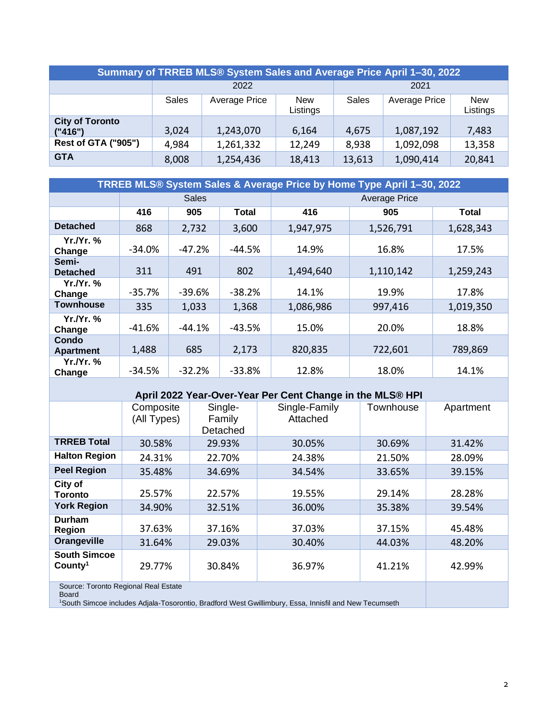| Summary of TRREB MLS® System Sales and Average Price April 1-30, 2022 |                                                                                                 |           |        |        |           |        |  |
|-----------------------------------------------------------------------|-------------------------------------------------------------------------------------------------|-----------|--------|--------|-----------|--------|--|
|                                                                       | 2022                                                                                            |           |        | 2021   |           |        |  |
|                                                                       | <b>Sales</b><br>Average Price<br><b>Sales</b><br><b>Average Price</b><br><b>New</b><br>Listings |           |        |        |           |        |  |
| <b>City of Toronto</b><br>("416")                                     | 3,024                                                                                           | 1,243,070 | 6,164  | 4,675  | 1,087,192 | 7,483  |  |
| <b>Rest of GTA ("905")</b>                                            | 4,984                                                                                           | 1,261,332 | 12,249 | 8,938  | 1,092,098 | 13,358 |  |
| <b>GTA</b>                                                            | 8,008                                                                                           | 1,254,436 | 18,413 | 13,613 | 1,090,414 | 20,841 |  |

| TRREB MLS® System Sales & Average Price by Home Type April 1-30, 2022 |              |          |          |                      |           |           |  |
|-----------------------------------------------------------------------|--------------|----------|----------|----------------------|-----------|-----------|--|
|                                                                       | <b>Sales</b> |          |          | <b>Average Price</b> |           |           |  |
|                                                                       | 416          | 905      | Total    | 416                  | 905       | Total     |  |
| <b>Detached</b>                                                       | 868          | 2,732    | 3,600    | 1,947,975            | 1,526,791 | 1,628,343 |  |
| Yr.Nr. %<br>Change                                                    | $-34.0\%$    | $-47.2%$ | -44.5%   | 14.9%                | 16.8%     | 17.5%     |  |
| Semi-<br><b>Detached</b>                                              | 311          | 491      | 802      | 1,494,640            | 1,110,142 | 1,259,243 |  |
| Yr.Nr. %<br>Change                                                    | $-35.7%$     | $-39.6%$ | $-38.2%$ | 14.1%                | 19.9%     | 17.8%     |  |
| <b>Townhouse</b>                                                      | 335          | 1,033    | 1,368    | 1,086,986            | 997,416   | 1,019,350 |  |
| Yr.Nr. %<br>Change                                                    | $-41.6%$     | $-44.1%$ | $-43.5%$ | 15.0%                | 20.0%     | 18.8%     |  |
| Condo<br><b>Apartment</b>                                             | 1,488        | 685      | 2,173    | 820,835              | 722,601   | 789,869   |  |
| Yr./Yr. %<br>Change                                                   | $-34.5%$     | $-32.2%$ | $-33.8%$ | 12.8%                | 18.0%     | 14.1%     |  |

| April 2022 Year-Over-Year Per Cent Change in the MLS® HPI |                          |                               |                           |           |           |  |  |
|-----------------------------------------------------------|--------------------------|-------------------------------|---------------------------|-----------|-----------|--|--|
|                                                           | Composite<br>(All Types) | Single-<br>Family<br>Detached | Single-Family<br>Attached | Townhouse | Apartment |  |  |
| <b>TRREB Total</b>                                        | 30.58%                   | 29.93%                        | 30.05%                    | 30.69%    | 31.42%    |  |  |
| <b>Halton Region</b>                                      | 24.31%                   | 22.70%                        | 24.38%                    | 21.50%    | 28.09%    |  |  |
| <b>Peel Region</b>                                        | 35.48%                   | 34.69%                        | 34.54%                    | 33.65%    | 39.15%    |  |  |
| City of<br><b>Toronto</b>                                 | 25.57%                   | 22.57%                        | 19.55%                    | 29.14%    | 28.28%    |  |  |
| <b>York Region</b>                                        | 34.90%                   | 32.51%                        | 36.00%                    | 35.38%    | 39.54%    |  |  |
| Durham<br>Region                                          | 37.63%                   | 37.16%                        | 37.03%                    | 37.15%    | 45.48%    |  |  |
| Orangeville                                               | 31.64%                   | 29.03%                        | 30.40%                    | 44.03%    | 48.20%    |  |  |
| <b>South Simcoe</b><br>County <sup>1</sup>                | 29.77%                   | 30.84%                        | 36.97%                    | 41.21%    | 42.99%    |  |  |
| Source: Toronto Regional Real Estate<br><b>Board</b>      |                          |                               |                           |           |           |  |  |

1South Simcoe includes Adjala-Tosorontio, Bradford West Gwillimbury, Essa, Innisfil and New Tecumseth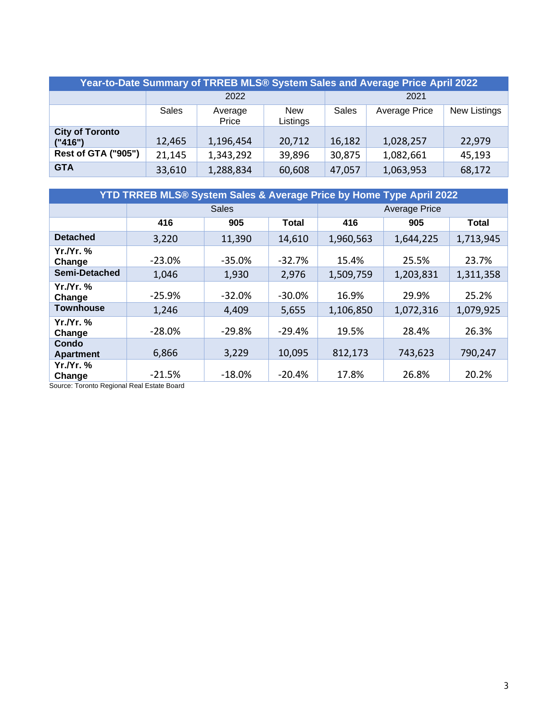| Year-to-Date Summary of TRREB MLS® System Sales and Average Price April 2022 |              |                  |                 |        |               |              |  |
|------------------------------------------------------------------------------|--------------|------------------|-----------------|--------|---------------|--------------|--|
|                                                                              | 2022         |                  |                 | 2021   |               |              |  |
|                                                                              | <b>Sales</b> | Average<br>Price | New<br>Listings | Sales  | Average Price | New Listings |  |
| <b>City of Toronto</b><br>("416")                                            | 12,465       | 1,196,454        | 20,712          | 16,182 | 1,028,257     | 22,979       |  |
| <b>Rest of GTA ("905")</b>                                                   | 21,145       | 1,343,292        | 39,896          | 30,875 | 1,082,661     | 45,193       |  |
| <b>GTA</b>                                                                   | 33,610       | 1,288,834        | 60,608          | 47,057 | 1,063,953     | 68,172       |  |

| YTD TRREB MLS® System Sales & Average Price by Home Type April 2022 |              |          |           |                      |           |           |
|---------------------------------------------------------------------|--------------|----------|-----------|----------------------|-----------|-----------|
|                                                                     | <b>Sales</b> |          |           | <b>Average Price</b> |           |           |
|                                                                     | 416          | 905      | Total     | 416                  | 905       | Total     |
| <b>Detached</b>                                                     | 3,220        | 11,390   | 14,610    | 1,960,563            | 1,644,225 | 1,713,945 |
| $Yr.Nr.$ %<br>Change                                                | $-23.0%$     | $-35.0%$ | $-32.7%$  | 15.4%                | 25.5%     | 23.7%     |
| Semi-Detached                                                       | 1,046        | 1,930    | 2,976     | 1,509,759            | 1,203,831 | 1,311,358 |
| Yr./Yr. %<br>Change                                                 | $-25.9%$     | $-32.0%$ | $-30.0\%$ | 16.9%                | 29.9%     | 25.2%     |
| <b>Townhouse</b>                                                    | 1,246        | 4,409    | 5,655     | 1,106,850            | 1,072,316 | 1,079,925 |
| <b>Yr./Yr. %</b><br>Change                                          | $-28.0%$     | $-29.8%$ | $-29.4%$  | 19.5%                | 28.4%     | 26.3%     |
| Condo<br><b>Apartment</b>                                           | 6,866        | 3,229    | 10,095    | 812,173              | 743,623   | 790,247   |
| $Yr.Yr.$ %<br>Change                                                | $-21.5%$     | $-18.0%$ | $-20.4%$  | 17.8%                | 26.8%     | 20.2%     |

Source: Toronto Regional Real Estate Board